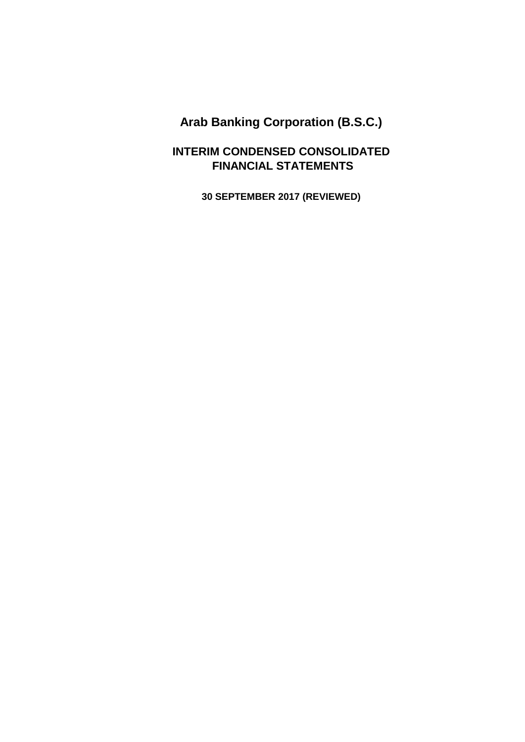**INTERIM CONDENSED CONSOLIDATED FINANCIAL STATEMENTS**

**30 SEPTEMBER 2017 (REVIEWED)**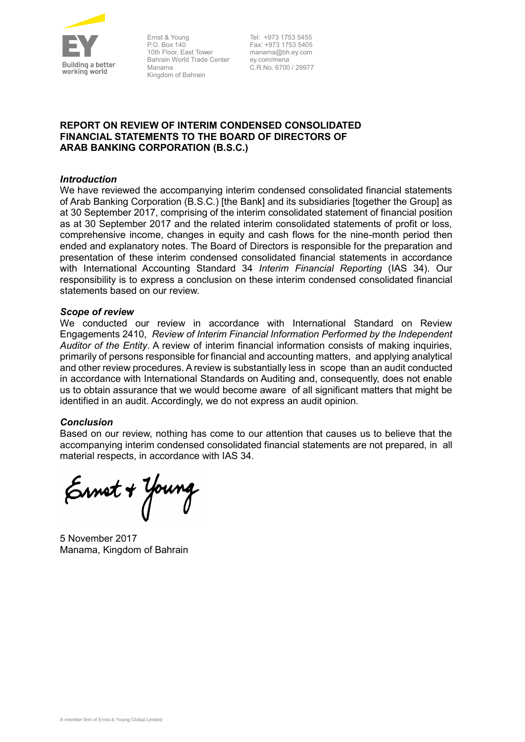

Ernst & Young P.O. Box 140 10th Floor, East Tower Bahrain World Trade Center Manama Kingdom of Bahrain

Tel: +973 1753 5455 Fax: +973 1753 5405 manama@bh.ey.com ey.com/mena C.R.No. 6700 / 29977

### **REPORT ON REVIEW OF INTERIM CONDENSED CONSOLIDATED FINANCIAL STATEMENTS TO THE BOARD OF DIRECTORS OF ARAB BANKING CORPORATION (B.S.C.)**

#### *Introduction*

We have reviewed the accompanying interim condensed consolidated financial statements of Arab Banking Corporation (B.S.C.) [the Bank] and its subsidiaries [together the Group] as at 30 September 2017, comprising of the interim consolidated statement of financial position as at 30 September 2017 and the related interim consolidated statements of profit or loss, comprehensive income, changes in equity and cash flows for the nine-month period then ended and explanatory notes. The Board of Directors is responsible for the preparation and presentation of these interim condensed consolidated financial statements in accordance with International Accounting Standard 34 *Interim Financial Reporting* (IAS 34). Our responsibility is to express a conclusion on these interim condensed consolidated financial statements based on our review.

#### *Scope of review*

We conducted our review in accordance with International Standard on Review Engagements 2410, *Review of Interim Financial Information Performed by the Independent Auditor of the Entity*. A review of interim financial information consists of making inquiries, primarily of persons responsible for financial and accounting matters, and applying analytical and other review procedures. A review is substantially less in scope than an audit conducted in accordance with International Standards on Auditing and, consequently, does not enable us to obtain assurance that we would become aware of all significant matters that might be identified in an audit. Accordingly, we do not express an audit opinion.

#### *Conclusion*

Based on our review, nothing has come to our attention that causes us to believe that the accompanying interim condensed consolidated financial statements are not prepared, in all material respects, in accordance with IAS 34.

Ernet + Young

5 November 2017 Manama, Kingdom of Bahrain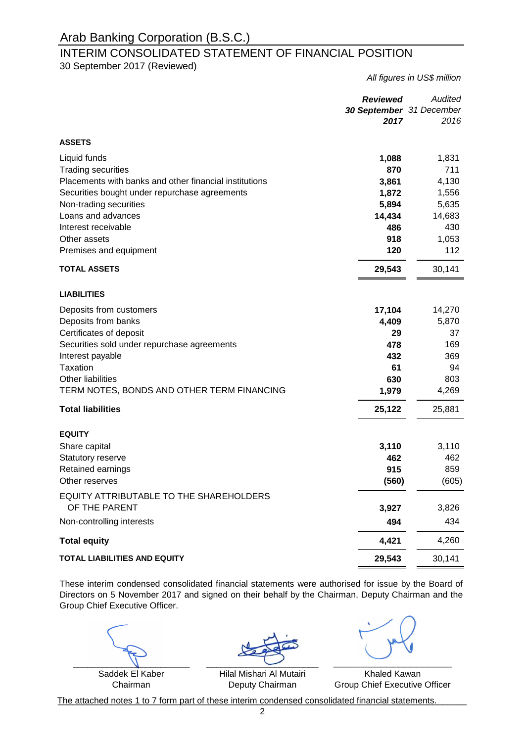### INTERIM CONSOLIDATED STATEMENT OF FINANCIAL POSITION 30 September 2017 (Reviewed)

*All figures in US\$ million*

|                                                        | <b>Reviewed</b><br>30 September 31 December<br>2017 | Audited<br>2016 |
|--------------------------------------------------------|-----------------------------------------------------|-----------------|
| <b>ASSETS</b>                                          |                                                     |                 |
| Liquid funds                                           | 1,088                                               | 1,831           |
| <b>Trading securities</b>                              | 870                                                 | 711             |
| Placements with banks and other financial institutions | 3,861                                               | 4,130           |
| Securities bought under repurchase agreements          | 1,872                                               | 1,556           |
| Non-trading securities                                 | 5,894                                               | 5,635           |
| Loans and advances                                     | 14,434                                              | 14,683          |
| Interest receivable                                    | 486                                                 | 430             |
| Other assets                                           | 918                                                 | 1,053           |
| Premises and equipment                                 | 120                                                 | 112             |
| <b>TOTAL ASSETS</b>                                    | 29,543                                              | 30,141          |
| <b>LIABILITIES</b>                                     |                                                     |                 |
| Deposits from customers                                | 17,104                                              | 14,270          |
| Deposits from banks                                    | 4,409                                               | 5,870           |
| Certificates of deposit                                | 29                                                  | 37              |
| Securities sold under repurchase agreements            | 478                                                 | 169             |
| Interest payable                                       | 432                                                 | 369             |
| <b>Taxation</b>                                        | 61                                                  | 94              |
| <b>Other liabilities</b>                               | 630                                                 | 803             |
| TERM NOTES, BONDS AND OTHER TERM FINANCING             | 1,979                                               | 4,269           |
| <b>Total liabilities</b>                               | 25,122                                              | 25,881          |
| <b>EQUITY</b>                                          |                                                     |                 |
| Share capital                                          | 3,110                                               | 3,110           |
| Statutory reserve                                      | 462                                                 | 462             |
| Retained earnings                                      | 915                                                 | 859             |
| Other reserves                                         | (560)                                               | (605)           |
| EQUITY ATTRIBUTABLE TO THE SHAREHOLDERS                |                                                     |                 |
| OF THE PARENT                                          | 3,927                                               | 3,826           |
| Non-controlling interests                              | 494                                                 | 434             |
| <b>Total equity</b>                                    | 4,421                                               | 4,260           |
| <b>TOTAL LIABILITIES AND EQUITY</b>                    | 29,543                                              | 30,141          |

These interim condensed consolidated financial statements were authorised for issue by the Board of Directors on 5 November 2017 and signed on their behalf by the Chairman, Deputy Chairman and the Group Chief Executive Officer.

Saddek El Kaber Chairman

\_\_\_\_\_\_\_\_\_\_\_\_\_\_\_\_\_\_\_\_\_\_\_\_ \_\_\_\_\_\_\_\_\_\_\_\_\_\_\_\_\_\_\_\_  $\overline{\phantom{a}}$ 

Khaled Kawan Group Chief Executive Officer

The attached notes 1 to 7 form part of these interim condensed consolidated financial statements.

Hilal Mishari Al Mutairi Deputy Chairman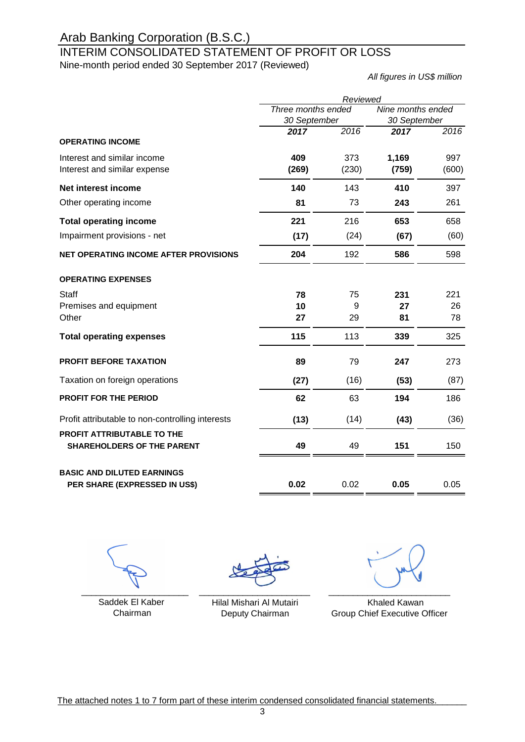### INTERIM CONSOLIDATED STATEMENT OF PROFIT OR LOSS Nine-month period ended 30 September 2017 (Reviewed)

*All figures in US\$ million*

|                                                                 | Reviewed                           |       |                                   |       |  |
|-----------------------------------------------------------------|------------------------------------|-------|-----------------------------------|-------|--|
|                                                                 | Three months ended<br>30 September |       | Nine months ended<br>30 September |       |  |
|                                                                 | 2017                               | 2016  | 2017                              | 2016  |  |
| <b>OPERATING INCOME</b>                                         |                                    |       |                                   |       |  |
| Interest and similar income                                     | 409                                | 373   | 1,169                             | 997   |  |
| Interest and similar expense                                    | (269)                              | (230) | (759)                             | (600) |  |
| Net interest income                                             | 140                                | 143   | 410                               | 397   |  |
| Other operating income                                          | 81                                 | 73    | 243                               | 261   |  |
| <b>Total operating income</b>                                   | 221                                | 216   | 653                               | 658   |  |
| Impairment provisions - net                                     | (17)                               | (24)  | (67)                              | (60)  |  |
| NET OPERATING INCOME AFTER PROVISIONS                           | 204                                | 192   | 586                               | 598   |  |
| <b>OPERATING EXPENSES</b>                                       |                                    |       |                                   |       |  |
| Staff                                                           | 78                                 | 75    | 231                               | 221   |  |
| Premises and equipment                                          | 10                                 | 9     | 27                                | 26    |  |
| Other                                                           | 27                                 | 29    | 81                                | 78    |  |
| <b>Total operating expenses</b>                                 | 115                                | 113   | 339                               | 325   |  |
| <b>PROFIT BEFORE TAXATION</b>                                   | 89                                 | 79    | 247                               | 273   |  |
| Taxation on foreign operations                                  | (27)                               | (16)  | (53)                              | (87)  |  |
| PROFIT FOR THE PERIOD                                           | 62                                 | 63    | 194                               | 186   |  |
| Profit attributable to non-controlling interests                | (13)                               | (14)  | (43)                              | (36)  |  |
| PROFIT ATTRIBUTABLE TO THE<br><b>SHAREHOLDERS OF THE PARENT</b> | 49                                 | 49    | 151                               | 150   |  |
| <b>BASIC AND DILUTED EARNINGS</b>                               |                                    |       |                                   |       |  |
| PER SHARE (EXPRESSED IN US\$)                                   | 0.02                               | 0.02  | 0.05                              | 0.05  |  |

\_\_\_\_\_\_\_\_\_\_\_\_\_\_\_\_\_\_\_\_\_\_

Chairman

\_\_\_\_\_\_\_\_\_\_\_\_\_\_\_\_\_\_\_\_\_\_\_

Deputy Chairman

Saddek El Kaber **Khaled Kawan** Hilal Mishari Al Mutairi **Khaled Kawan** Group Chief Executive Officer \_\_\_\_\_\_\_\_\_\_\_\_\_\_\_\_\_\_\_\_\_\_\_\_\_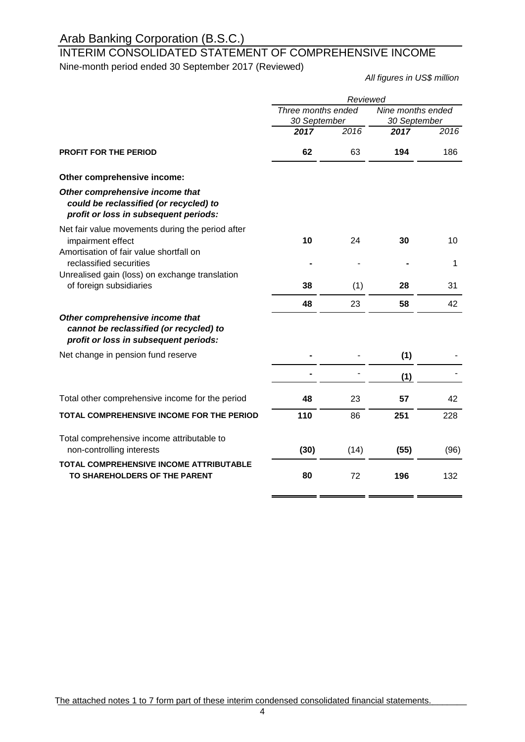### INTERIM CONSOLIDATED STATEMENT OF COMPREHENSIVE INCOME Nine-month period ended 30 September 2017 (Reviewed)

*All figures in US\$ million*

 $\blacksquare$ 

|                                                                                                                     | Reviewed                           |      |                                   |      |
|---------------------------------------------------------------------------------------------------------------------|------------------------------------|------|-----------------------------------|------|
|                                                                                                                     | Three months ended<br>30 September |      | Nine months ended<br>30 September |      |
|                                                                                                                     | 2017                               | 2016 | 2017                              | 2016 |
| <b>PROFIT FOR THE PERIOD</b>                                                                                        | 62                                 | 63   | 194                               | 186  |
| Other comprehensive income:                                                                                         |                                    |      |                                   |      |
| Other comprehensive income that<br>could be reclassified (or recycled) to<br>profit or loss in subsequent periods:  |                                    |      |                                   |      |
| Net fair value movements during the period after<br>impairment effect<br>Amortisation of fair value shortfall on    | 10                                 | 24   | 30                                | 10   |
| reclassified securities                                                                                             |                                    |      |                                   | 1    |
| Unrealised gain (loss) on exchange translation<br>of foreign subsidiaries                                           | 38                                 | (1)  | 28                                | 31   |
|                                                                                                                     | 48                                 | 23   | 58                                | 42   |
| Other comprehensive income that<br>cannot be reclassified (or recycled) to<br>profit or loss in subsequent periods: |                                    |      |                                   |      |
| Net change in pension fund reserve                                                                                  |                                    |      | (1)                               |      |
|                                                                                                                     |                                    |      | (1)                               |      |
| Total other comprehensive income for the period                                                                     | 48                                 | 23   | 57                                | 42   |
| TOTAL COMPREHENSIVE INCOME FOR THE PERIOD                                                                           | 110                                | 86   | 251                               | 228  |
| Total comprehensive income attributable to<br>non-controlling interests                                             | (30)                               | (14) | (55)                              | (96) |
| TOTAL COMPREHENSIVE INCOME ATTRIBUTABLE<br>TO SHAREHOLDERS OF THE PARENT                                            | 80                                 | 72   | 196                               | 132  |

The attached notes 1 to 7 form part of these interim condensed consolidated financial statements.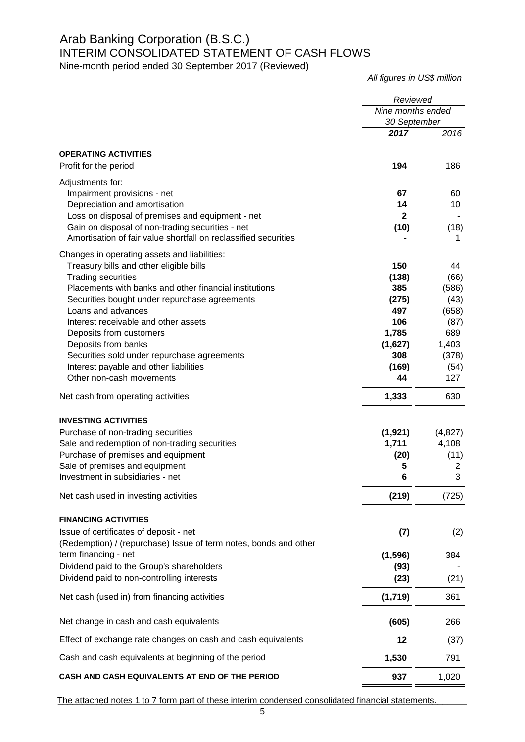### INTERIM CONSOLIDATED STATEMENT OF CASH FLOWS Nine-month period ended 30 September 2017 (Reviewed)

*All figures in US\$ million*

|                                                                                                                     | Reviewed                          |              |
|---------------------------------------------------------------------------------------------------------------------|-----------------------------------|--------------|
|                                                                                                                     | Nine months ended<br>30 September |              |
|                                                                                                                     | 2017                              | 2016         |
| <b>OPERATING ACTIVITIES</b>                                                                                         |                                   |              |
| Profit for the period                                                                                               | 194                               | 186          |
| Adjustments for:                                                                                                    |                                   |              |
| Impairment provisions - net                                                                                         | 67                                | 60           |
| Depreciation and amortisation                                                                                       | 14                                | 10           |
| Loss on disposal of premises and equipment - net                                                                    | 2                                 |              |
| Gain on disposal of non-trading securities - net<br>Amortisation of fair value shortfall on reclassified securities | (10)                              | (18)<br>1    |
| Changes in operating assets and liabilities:                                                                        |                                   |              |
| Treasury bills and other eligible bills                                                                             | 150                               | 44           |
| <b>Trading securities</b>                                                                                           | (138)                             | (66)         |
| Placements with banks and other financial institutions                                                              | 385                               | (586)        |
| Securities bought under repurchase agreements                                                                       | (275)                             | (43)         |
| Loans and advances                                                                                                  | 497                               | (658)        |
| Interest receivable and other assets                                                                                | 106                               | (87)         |
| Deposits from customers<br>Deposits from banks                                                                      | 1,785                             | 689<br>1,403 |
| Securities sold under repurchase agreements                                                                         | (1,627)<br>308                    | (378)        |
| Interest payable and other liabilities                                                                              | (169)                             | (54)         |
| Other non-cash movements                                                                                            | 44                                | 127          |
| Net cash from operating activities                                                                                  | 1,333                             | 630          |
| <b>INVESTING ACTIVITIES</b>                                                                                         |                                   |              |
| Purchase of non-trading securities                                                                                  | (1, 921)                          | (4,827)      |
| Sale and redemption of non-trading securities                                                                       | 1,711                             | 4,108        |
| Purchase of premises and equipment                                                                                  | (20)                              | (11)         |
| Sale of premises and equipment                                                                                      | 5                                 | 2            |
| Investment in subsidiaries - net                                                                                    | 6                                 | 3            |
| Net cash used in investing activities                                                                               | (219)                             | (725)        |
| <b>FINANCING ACTIVITIES</b>                                                                                         |                                   |              |
| Issue of certificates of deposit - net<br>(Redemption) / (repurchase) Issue of term notes, bonds and other          | (7)                               | (2)          |
| term financing - net                                                                                                | (1, 596)                          | 384          |
| Dividend paid to the Group's shareholders                                                                           | (93)                              |              |
| Dividend paid to non-controlling interests                                                                          | (23)                              | (21)         |
| Net cash (used in) from financing activities                                                                        | (1,719)                           | 361          |
| Net change in cash and cash equivalents                                                                             | (605)                             | 266          |
| Effect of exchange rate changes on cash and cash equivalents                                                        | 12                                | (37)         |
| Cash and cash equivalents at beginning of the period                                                                | 1,530                             | 791          |
| CASH AND CASH EQUIVALENTS AT END OF THE PERIOD                                                                      | 937                               | 1,020        |

The attached notes 1 to 7 form part of these interim condensed consolidated financial statements.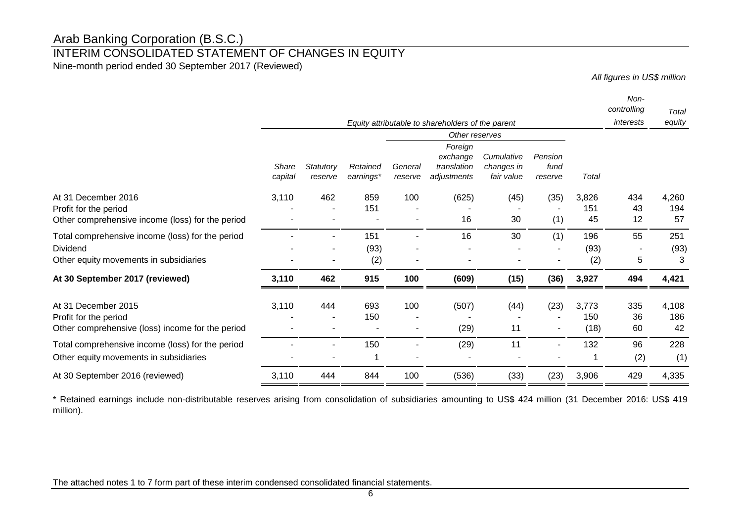# INTERIM CONSOLIDATED STATEMENT OF CHANGES IN EQUITY

Nine-month period ended 30 September 2017 (Reviewed)

*All figures in US\$ million*

|                                                                                                        |                         |                      |                       |                    |                                                   |                                        |                            |                      | Non-<br>controlling | Total              |
|--------------------------------------------------------------------------------------------------------|-------------------------|----------------------|-----------------------|--------------------|---------------------------------------------------|----------------------------------------|----------------------------|----------------------|---------------------|--------------------|
|                                                                                                        |                         |                      |                       |                    | Equity attributable to shareholders of the parent |                                        |                            |                      | interests           | equity             |
|                                                                                                        | Other reserves          |                      |                       |                    |                                                   |                                        |                            |                      |                     |                    |
|                                                                                                        | <b>Share</b><br>capital | Statutory<br>reserve | Retained<br>earnings* | General<br>reserve | Foreign<br>exchange<br>translation<br>adjustments | Cumulative<br>changes in<br>fair value | Pension<br>fund<br>reserve | Total                |                     |                    |
| December 2016<br>At 31<br>Profit for the period<br>Other comprehensive income (loss) for the period    | 3,110                   | 462                  | 859<br>151            | 100                | (625)<br>16                                       | (45)<br>30                             | (35)<br>(1)                | 3,826<br>151<br>45   | 434<br>43<br>12     | 4,260<br>194<br>57 |
| Total comprehensive income (loss) for the period<br>Dividend<br>Other equity movements in subsidiaries |                         |                      | 151<br>(93)<br>(2)    |                    | 16                                                | 30                                     | (1)                        | 196<br>(93)<br>(2)   | 55<br>5             | 251<br>(93)<br>3   |
| At 30 September 2017 (reviewed)                                                                        | 3,110                   | 462                  | 915                   | 100                | (609)                                             | (15)                                   | (36)                       | 3,927                | 494                 | 4,421              |
| December 2015<br>At 31<br>Profit for the period<br>Other comprehensive (loss) income for the period    | 3,110                   | 444                  | 693<br>150            | 100                | (507)<br>(29)                                     | (44)<br>11                             | (23)                       | 3,773<br>150<br>(18) | 335<br>36<br>60     | 4,108<br>186<br>42 |
| Total comprehensive income (loss) for the period<br>Other equity movements in subsidiaries             |                         |                      | 150                   |                    | (29)                                              | 11                                     |                            | 132<br>1             | 96<br>(2)           | 228<br>(1)         |
| At 30 September 2016 (reviewed)                                                                        | 3,110                   | 444                  | 844                   | 100                | (536)                                             | (33)                                   | (23)                       | 3,906                | 429                 | 4,335              |

\* Retained earnings include non-distributable reserves arising from consolidation of subsidiaries amounting to US\$ 424 million (31 December 2016: US\$ 419 million).

The attached notes 1 to 7 form part of these interim condensed consolidated financial statements.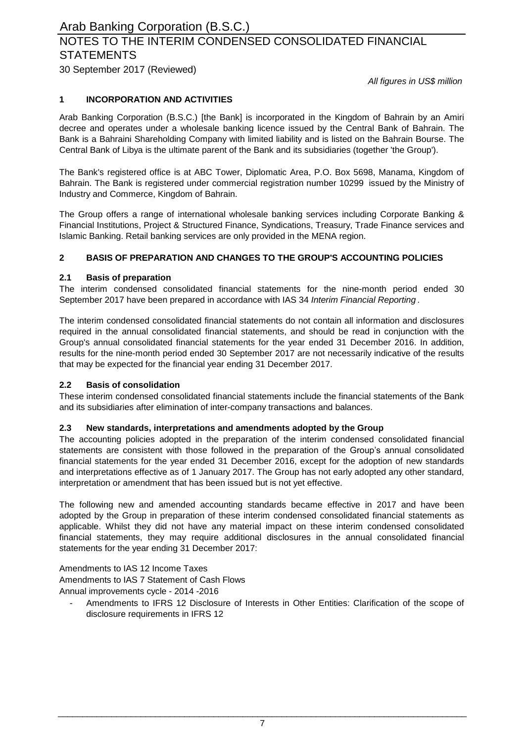# NOTES TO THE INTERIM CONDENSED CONSOLIDATED FINANCIAL **STATEMENTS**

30 September 2017 (Reviewed)

*All figures in US\$ million*

#### **1 INCORPORATION AND ACTIVITIES**

Arab Banking Corporation (B.S.C.) [the Bank] is incorporated in the Kingdom of Bahrain by an Amiri decree and operates under a wholesale banking licence issued by the Central Bank of Bahrain. The Bank is a Bahraini Shareholding Company with limited liability and is listed on the Bahrain Bourse. The Central Bank of Libya is the ultimate parent of the Bank and its subsidiaries (together 'the Group').

The Bank's registered office is at ABC Tower, Diplomatic Area, P.O. Box 5698, Manama, Kingdom of Bahrain. The Bank is registered under commercial registration number 10299 issued by the Ministry of Industry and Commerce, Kingdom of Bahrain.

The Group offers a range of international wholesale banking services including Corporate Banking & Financial Institutions, Project & Structured Finance, Syndications, Treasury, Trade Finance services and Islamic Banking. Retail banking services are only provided in the MENA region.

#### **2 BASIS OF PREPARATION AND CHANGES TO THE GROUP'S ACCOUNTING POLICIES**

#### **2.1 Basis of preparation**

The interim condensed consolidated financial statements for the nine-month period ended 30 September 2017 have been prepared in accordance with IAS 34 *Interim Financial Reporting* .

The interim condensed consolidated financial statements do not contain all information and disclosures required in the annual consolidated financial statements, and should be read in conjunction with the Group's annual consolidated financial statements for the year ended 31 December 2016. In addition, results for the nine-month period ended 30 September 2017 are not necessarily indicative of the results that may be expected for the financial year ending 31 December 2017.

#### **2.2 Basis of consolidation**

These interim condensed consolidated financial statements include the financial statements of the Bank and its subsidiaries after elimination of inter-company transactions and balances.

#### **2.3 New standards, interpretations and amendments adopted by the Group**

The accounting policies adopted in the preparation of the interim condensed consolidated financial statements are consistent with those followed in the preparation of the Group's annual consolidated financial statements for the year ended 31 December 2016, except for the adoption of new standards and interpretations effective as of 1 January 2017. The Group has not early adopted any other standard, interpretation or amendment that has been issued but is not yet effective.

The following new and amended accounting standards became effective in 2017 and have been adopted by the Group in preparation of these interim condensed consolidated financial statements as applicable. Whilst they did not have any material impact on these interim condensed consolidated financial statements, they may require additional disclosures in the annual consolidated financial statements for the year ending 31 December 2017:

Amendments to IAS 12 Income Taxes

Amendments to IAS 7 Statement of Cash Flows

Annual improvements cycle - 2014 -2016

- Amendments to IFRS 12 Disclosure of Interests in Other Entities: Clarification of the scope of disclosure requirements in IFRS 12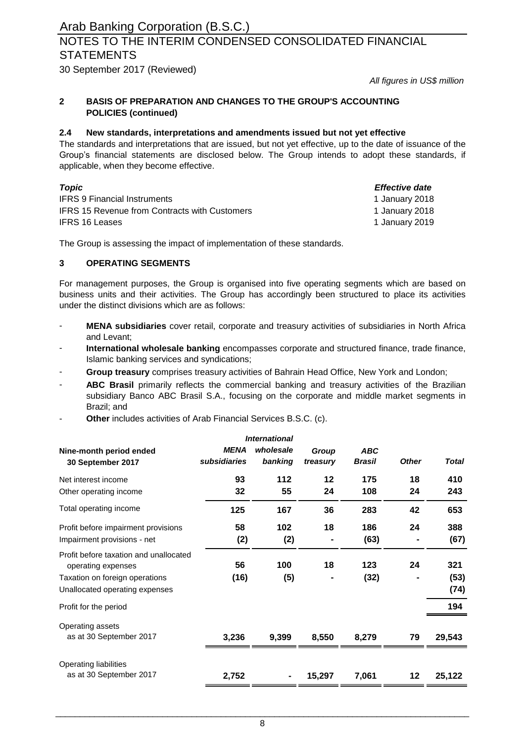### NOTES TO THE INTERIM CONDENSED CONSOLIDATED FINANCIAL **STATEMENTS**

30 September 2017 (Reviewed)

*All figures in US\$ million*

#### **2 BASIS OF PREPARATION AND CHANGES TO THE GROUP'S ACCOUNTING POLICIES (continued)**

#### **2.4 New standards, interpretations and amendments issued but not yet effective**

The standards and interpretations that are issued, but not yet effective, up to the date of issuance of the Group's financial statements are disclosed below. The Group intends to adopt these standards, if applicable, when they become effective.

| Topic                                                | Effective date |
|------------------------------------------------------|----------------|
| <b>IFRS 9 Financial Instruments</b>                  | 1 January 2018 |
| <b>IFRS 15 Revenue from Contracts with Customers</b> | 1 January 2018 |
| <b>IFRS 16 Leases</b>                                | 1 January 2019 |

The Group is assessing the impact of implementation of these standards.

#### **3 OPERATING SEGMENTS**

For management purposes, the Group is organised into five operating segments which are based on business units and their activities. The Group has accordingly been structured to place its activities under the distinct divisions which are as follows:

- **MENA subsidiaries** cover retail, corporate and treasury activities of subsidiaries in North Africa and Levant;
- **International wholesale banking** encompasses corporate and structured finance, trade finance, Islamic banking services and syndications;
- **Group treasury** comprises treasury activities of Bahrain Head Office, New York and London;
- **ABC Brasil** primarily reflects the commercial banking and treasury activities of the Brazilian subsidiary Banco ABC Brasil S.A., focusing on the corporate and middle market segments in Brazil; and
- **Other** includes activities of Arab Financial Services B.S.C. (c).

|                                                                    |                             | <b>International</b> |                   |                             |              |              |
|--------------------------------------------------------------------|-----------------------------|----------------------|-------------------|-----------------------------|--------------|--------------|
| Nine-month period ended<br>30 September 2017                       | <b>MENA</b><br>subsidiaries | wholesale<br>banking | Group<br>treasury | <b>ABC</b><br><b>Brasil</b> | <b>Other</b> | <b>Total</b> |
| Net interest income                                                | 93                          | 112                  | $12 \,$           | 175                         | 18           | 410          |
| Other operating income                                             | 32                          | 55                   | 24                | 108                         | 24           | 243          |
| Total operating income                                             | 125                         | 167                  | 36                | 283                         | 42           | 653          |
| Profit before impairment provisions<br>Impairment provisions - net | 58<br>(2)                   | 102<br>(2)           | 18                | 186<br>(63)                 | 24           | 388<br>(67)  |
| Profit before taxation and unallocated<br>operating expenses       | 56                          | 100                  | 18                | 123                         | 24           | 321          |
| Taxation on foreign operations<br>Unallocated operating expenses   | (16)                        | (5)                  | ۰                 | (32)                        |              | (53)<br>(74) |
| Profit for the period                                              |                             |                      |                   |                             |              | 194          |
| Operating assets<br>as at 30 September 2017                        | 3,236                       | 9,399                | 8,550             | 8,279                       | 79           | 29,543       |
| Operating liabilities<br>as at 30 September 2017                   | 2,752                       |                      | 15,297            | 7,061                       | 12           | 25,122       |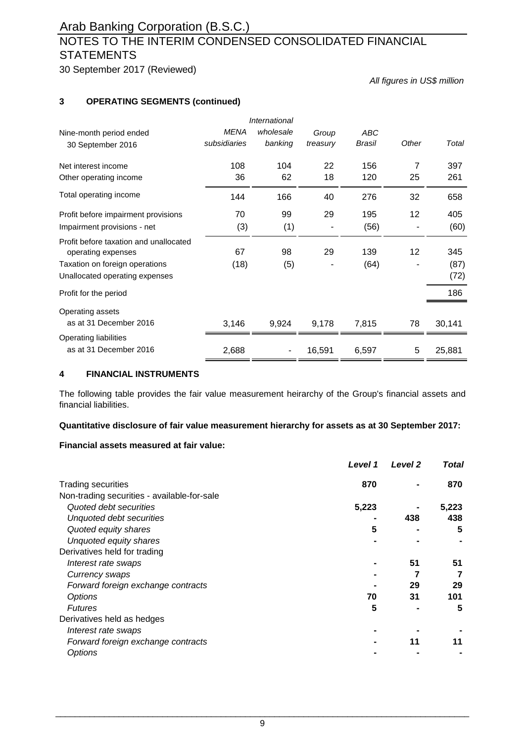# NOTES TO THE INTERIM CONDENSED CONSOLIDATED FINANCIAL **STATEMENTS**

30 September 2017 (Reviewed)

*All figures in US\$ million*

#### **3 OPERATING SEGMENTS (continued)**

|                                                              |              | International |          |            |                 |        |
|--------------------------------------------------------------|--------------|---------------|----------|------------|-----------------|--------|
| Nine-month period ended                                      | <b>MENA</b>  | wholesale     | Group    | <b>ABC</b> |                 |        |
| 30 September 2016                                            | subsidiaries | banking       | treasury | Brasil     | Other           | Total  |
| Net interest income                                          | 108          | 104           | 22       | 156        | 7               | 397    |
| Other operating income                                       | 36           | 62            | 18       | 120        | 25              | 261    |
| Total operating income                                       | 144          | 166           | 40       | 276        | 32              | 658    |
| Profit before impairment provisions                          | 70           | 99            | 29       | 195        | 12 <sup>2</sup> | 405    |
| Impairment provisions - net                                  | (3)          | (1)           |          | (56)       |                 | (60)   |
| Profit before taxation and unallocated<br>operating expenses | 67           | 98            | 29       | 139        | 12              | 345    |
| Taxation on foreign operations                               | (18)         | (5)           |          | (64)       |                 | (87)   |
| Unallocated operating expenses                               |              |               |          |            |                 | (72)   |
| Profit for the period                                        |              |               |          |            |                 | 186    |
| Operating assets                                             |              |               |          |            |                 |        |
| as at 31 December 2016                                       | 3,146        | 9,924         | 9,178    | 7,815      | 78              | 30,141 |
| Operating liabilities                                        |              |               |          |            |                 |        |
| as at 31 December 2016                                       | 2,688        |               | 16,591   | 6,597      | 5               | 25,881 |

#### **4 FINANCIAL INSTRUMENTS**

The following table provides the fair value measurement heirarchy of the Group's financial assets and financial liabilities.

#### **Quantitative disclosure of fair value measurement hierarchy for assets as at 30 September 2017:**

#### **Financial assets measured at fair value:**

| Level 1                                     | Level <sub>2</sub> | <b>Total</b> |
|---------------------------------------------|--------------------|--------------|
| 870<br><b>Trading securities</b>            |                    | 870          |
| Non-trading securities - available-for-sale |                    |              |
| 5,223<br>Quoted debt securities             |                    | 5,223        |
| Unquoted debt securities                    | 438                | 438          |
| Quoted equity shares<br>5                   |                    | 5            |
| Unquoted equity shares                      |                    |              |
| Derivatives held for trading                |                    |              |
| Interest rate swaps                         | 51                 | 51           |
| Currency swaps                              |                    |              |
| Forward foreign exchange contracts          | 29                 | 29           |
| <b>Options</b><br>70                        | 31                 | 101          |
| 5<br><b>Futures</b>                         |                    | 5            |
| Derivatives held as hedges                  |                    |              |
| Interest rate swaps                         |                    |              |
| Forward foreign exchange contracts          | 11                 | 11           |
| Options                                     |                    |              |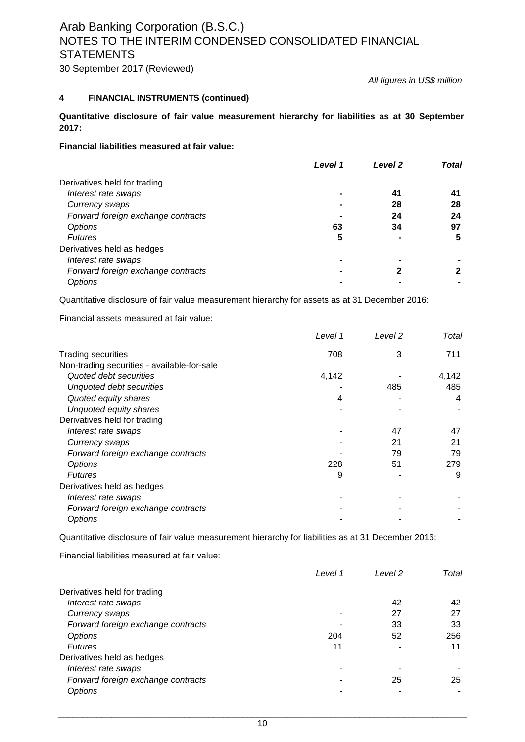### NOTES TO THE INTERIM CONDENSED CONSOLIDATED FINANCIAL **STATEMENTS**

30 September 2017 (Reviewed)

*All figures in US\$ million*

#### **4 FINANCIAL INSTRUMENTS (continued)**

**Quantitative disclosure of fair value measurement hierarchy for liabilities as at 30 September 2017:**

**Financial liabilities measured at fair value:**

|                                    | Level 1 | Level <sub>2</sub> | <b>Total</b> |
|------------------------------------|---------|--------------------|--------------|
| Derivatives held for trading       |         |                    |              |
| Interest rate swaps                |         | 41                 |              |
| Currency swaps                     |         | 28                 | 28           |
| Forward foreign exchange contracts |         | 24                 | 24           |
| Options                            | 63      | 34                 | 97           |
| <b>Futures</b>                     | 5       |                    | 5            |
| Derivatives held as hedges         |         |                    |              |
| Interest rate swaps                |         |                    |              |
| Forward foreign exchange contracts |         |                    |              |
| Options                            |         |                    |              |

Quantitative disclosure of fair value measurement hierarchy for assets as at 31 December 2016:

Financial assets measured at fair value:

|                                             | Level 1 | Level 2 | Total |
|---------------------------------------------|---------|---------|-------|
| <b>Trading securities</b>                   | 708     | 3       | 711   |
| Non-trading securities - available-for-sale |         |         |       |
| Quoted debt securities                      | 4,142   |         | 4,142 |
| Unquoted debt securities                    |         | 485     | 485   |
| Quoted equity shares                        | 4       |         | 4     |
| Unquoted equity shares                      |         |         |       |
| Derivatives held for trading                |         |         |       |
| Interest rate swaps                         |         | 47      | 47    |
| Currency swaps                              |         | 21      | 21    |
| Forward foreign exchange contracts          |         | 79      | 79    |
| <b>Options</b>                              | 228     | 51      | 279   |
| <b>Futures</b>                              | 9       |         | 9     |
| Derivatives held as hedges                  |         |         |       |
| Interest rate swaps                         |         |         |       |
| Forward foreign exchange contracts          |         |         |       |
| <b>Options</b>                              |         |         |       |

Quantitative disclosure of fair value measurement hierarchy for liabilities as at 31 December 2016:

Financial liabilities measured at fair value:

|                                    | Level 1 | Level 2 | Total |
|------------------------------------|---------|---------|-------|
| Derivatives held for trading       |         |         |       |
| Interest rate swaps                |         | 42      | 42    |
| Currency swaps                     |         | 27      | 27    |
| Forward foreign exchange contracts |         | 33      | 33    |
| Options                            | 204     | 52      | 256   |
| <b>Futures</b>                     | 11      |         | 11    |
| Derivatives held as hedges         |         |         |       |
| Interest rate swaps                |         |         |       |
| Forward foreign exchange contracts |         | 25      | 25    |
| Options                            |         |         |       |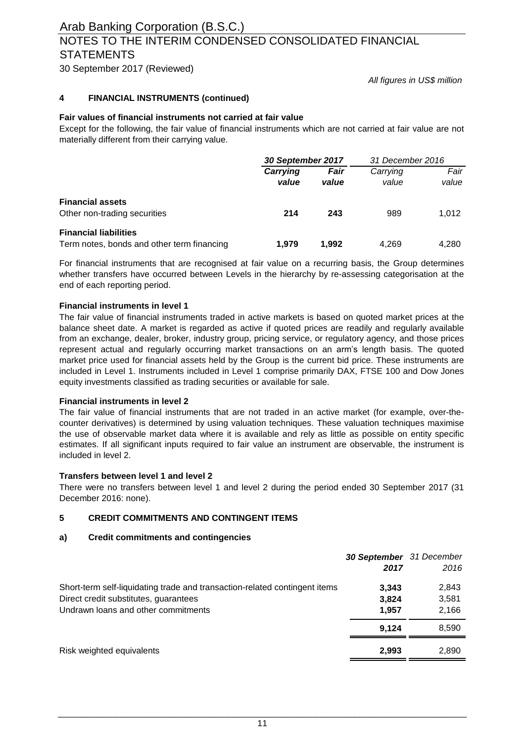### NOTES TO THE INTERIM CONDENSED CONSOLIDATED FINANCIAL **STATEMENTS**

30 September 2017 (Reviewed)

*All figures in US\$ million*

#### **4 FINANCIAL INSTRUMENTS (continued)**

#### **Fair values of financial instruments not carried at fair value**

Except for the following, the fair value of financial instruments which are not carried at fair value are not materially different from their carrying value.

|                                                                            | 30 September 2017 |               | 31 December 2016  |               |
|----------------------------------------------------------------------------|-------------------|---------------|-------------------|---------------|
|                                                                            | Carrying<br>value | Fair<br>value | Carrying<br>value | Fair<br>value |
| <b>Financial assets</b><br>Other non-trading securities                    | 214               | 243           | 989               | 1.012         |
| <b>Financial liabilities</b><br>Term notes, bonds and other term financing | 1.979             | 1.992         | 4.269             | 4.280         |

For financial instruments that are recognised at fair value on a recurring basis, the Group determines whether transfers have occurred between Levels in the hierarchy by re-assessing categorisation at the end of each reporting period.

#### **Financial instruments in level 1**

The fair value of financial instruments traded in active markets is based on quoted market prices at the balance sheet date. A market is regarded as active if quoted prices are readily and regularly available from an exchange, dealer, broker, industry group, pricing service, or regulatory agency, and those prices represent actual and regularly occurring market transactions on an arm's length basis. The quoted market price used for financial assets held by the Group is the current bid price. These instruments are included in Level 1. Instruments included in Level 1 comprise primarily DAX, FTSE 100 and Dow Jones equity investments classified as trading securities or available for sale.

#### **Financial instruments in level 2**

The fair value of financial instruments that are not traded in an active market (for example, over-thecounter derivatives) is determined by using valuation techniques. These valuation techniques maximise the use of observable market data where it is available and rely as little as possible on entity specific estimates. If all significant inputs required to fair value an instrument are observable, the instrument is included in level 2.

#### **Transfers between level 1 and level 2**

There were no transfers between level 1 and level 2 during the period ended 30 September 2017 (31 December 2016: none).

#### **5 CREDIT COMMITMENTS AND CONTINGENT ITEMS**

#### **a) Credit commitments and contingencies**

|                                                                            | 30 September 31 December |       |
|----------------------------------------------------------------------------|--------------------------|-------|
|                                                                            | 2017                     | 2016  |
| Short-term self-liquidating trade and transaction-related contingent items | 3.343                    | 2,843 |
| Direct credit substitutes, guarantees                                      | 3,824                    | 3,581 |
| Undrawn loans and other commitments                                        | 1.957                    | 2,166 |
|                                                                            | 9.124                    | 8,590 |
| Risk weighted equivalents                                                  | 2,993                    | 2,890 |